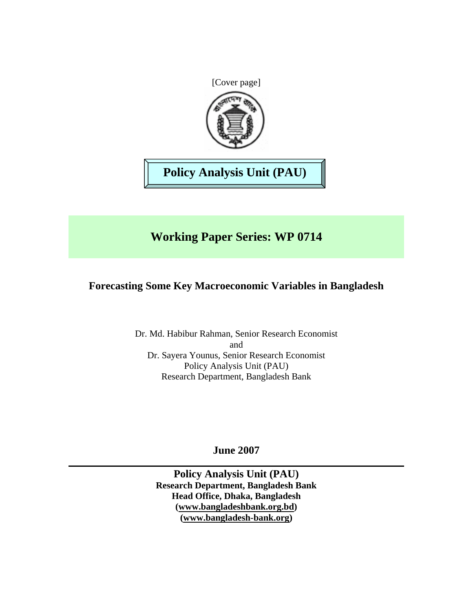

**Policy Analysis Unit (PAU)** 

# **Working Paper Series: WP 0714**

## **Forecasting Some Key Macroeconomic Variables in Bangladesh**

Dr. Md. Habibur Rahman, Senior Research Economist and Dr. Sayera Younus, Senior Research Economist Policy Analysis Unit (PAU) Research Department, Bangladesh Bank

**June 2007** 

**Policy Analysis Unit (PAU) Research Department, Bangladesh Bank Head Office, Dhaka, Bangladesh (www.bangladeshbank.org.bd) (www.bangladesh-bank.org)**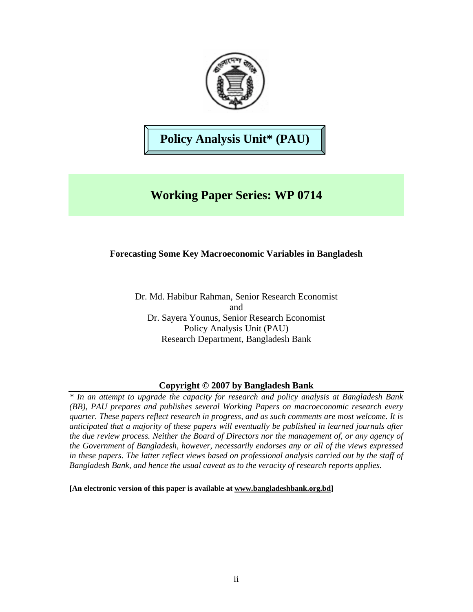

# **Policy Analysis Unit\* (PAU)**

# **Working Paper Series: WP 0714**

## **Forecasting Some Key Macroeconomic Variables in Bangladesh**

Dr. Md. Habibur Rahman, Senior Research Economist and Dr. Sayera Younus, Senior Research Economist Policy Analysis Unit (PAU) Research Department, Bangladesh Bank

## **Copyright © 2007 by Bangladesh Bank**

*\* In an attempt to upgrade the capacity for research and policy analysis at Bangladesh Bank (BB), PAU prepares and publishes several Working Papers on macroeconomic research every quarter. These papers reflect research in progress, and as such comments are most welcome. It is anticipated that a majority of these papers will eventually be published in learned journals after the due review process. Neither the Board of Directors nor the management of, or any agency of the Government of Bangladesh, however, necessarily endorses any or all of the views expressed in these papers. The latter reflect views based on professional analysis carried out by the staff of Bangladesh Bank, and hence the usual caveat as to the veracity of research reports applies.* 

**[An electronic version of this paper is available at www.bangladeshbank.org.bd]**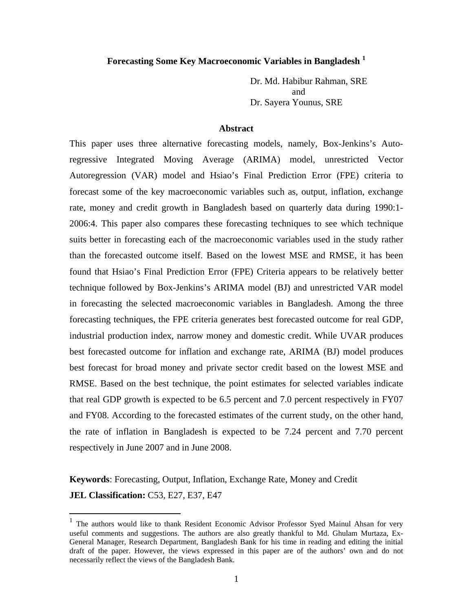### **Forecasting Some Key Macroeconomic Variables in Bangladesh 1**

Dr. Md. Habibur Rahman, SRE and Dr. Sayera Younus, SRE

#### **Abstract**

This paper uses three alternative forecasting models, namely, Box-Jenkins's Autoregressive Integrated Moving Average (ARIMA) model, unrestricted Vector Autoregression (VAR) model and Hsiao's Final Prediction Error (FPE) criteria to forecast some of the key macroeconomic variables such as, output, inflation, exchange rate, money and credit growth in Bangladesh based on quarterly data during 1990:1- 2006:4. This paper also compares these forecasting techniques to see which technique suits better in forecasting each of the macroeconomic variables used in the study rather than the forecasted outcome itself. Based on the lowest MSE and RMSE, it has been found that Hsiao's Final Prediction Error (FPE) Criteria appears to be relatively better technique followed by Box-Jenkins's ARIMA model (BJ) and unrestricted VAR model in forecasting the selected macroeconomic variables in Bangladesh. Among the three forecasting techniques, the FPE criteria generates best forecasted outcome for real GDP, industrial production index, narrow money and domestic credit. While UVAR produces best forecasted outcome for inflation and exchange rate, ARIMA (BJ) model produces best forecast for broad money and private sector credit based on the lowest MSE and RMSE. Based on the best technique, the point estimates for selected variables indicate that real GDP growth is expected to be 6.5 percent and 7.0 percent respectively in FY07 and FY08. According to the forecasted estimates of the current study, on the other hand, the rate of inflation in Bangladesh is expected to be 7.24 percent and 7.70 percent respectively in June 2007 and in June 2008.

## **Keywords**: Forecasting, Output, Inflation, Exchange Rate, Money and Credit **JEL Classification:** C53, E27, E37, E47

1

<sup>&</sup>lt;sup>1</sup> The authors would like to thank Resident Economic Advisor Professor Syed Mainul Ahsan for very useful comments and suggestions. The authors are also greatly thankful to Md. Ghulam Murtaza, Ex-General Manager, Research Department, Bangladesh Bank for his time in reading and editing the initial draft of the paper. However, the views expressed in this paper are of the authors' own and do not necessarily reflect the views of the Bangladesh Bank.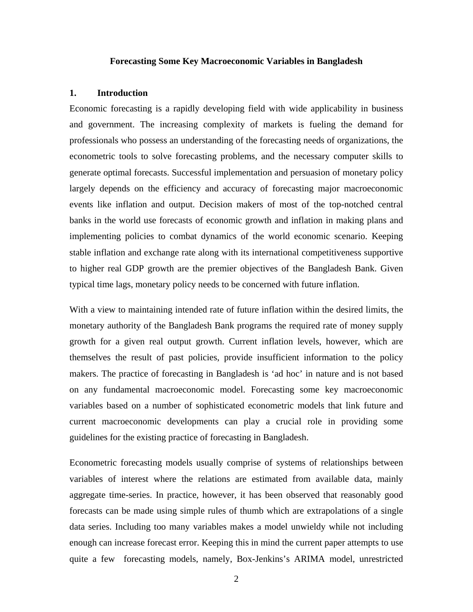#### **Forecasting Some Key Macroeconomic Variables in Bangladesh**

#### **1. Introduction**

Economic forecasting is a rapidly developing field with wide applicability in business and government. The increasing complexity of markets is fueling the demand for professionals who possess an understanding of the forecasting needs of organizations, the econometric tools to solve forecasting problems, and the necessary computer skills to generate optimal forecasts. Successful implementation and persuasion of monetary policy largely depends on the efficiency and accuracy of forecasting major macroeconomic events like inflation and output. Decision makers of most of the top-notched central banks in the world use forecasts of economic growth and inflation in making plans and implementing policies to combat dynamics of the world economic scenario. Keeping stable inflation and exchange rate along with its international competitiveness supportive to higher real GDP growth are the premier objectives of the Bangladesh Bank. Given typical time lags, monetary policy needs to be concerned with future inflation.

With a view to maintaining intended rate of future inflation within the desired limits, the monetary authority of the Bangladesh Bank programs the required rate of money supply growth for a given real output growth. Current inflation levels, however, which are themselves the result of past policies, provide insufficient information to the policy makers. The practice of forecasting in Bangladesh is 'ad hoc' in nature and is not based on any fundamental macroeconomic model. Forecasting some key macroeconomic variables based on a number of sophisticated econometric models that link future and current macroeconomic developments can play a crucial role in providing some guidelines for the existing practice of forecasting in Bangladesh.

Econometric forecasting models usually comprise of systems of relationships between variables of interest where the relations are estimated from available data, mainly aggregate time-series. In practice, however, it has been observed that reasonably good forecasts can be made using simple rules of thumb which are extrapolations of a single data series. Including too many variables makes a model unwieldy while not including enough can increase forecast error. Keeping this in mind the current paper attempts to use quite a few forecasting models, namely, Box-Jenkins's ARIMA model, unrestricted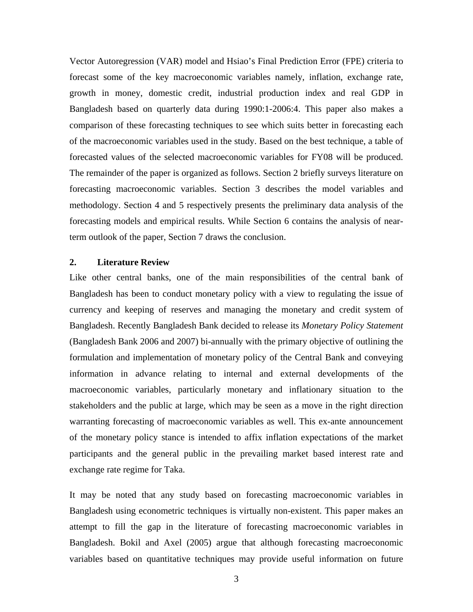Vector Autoregression (VAR) model and Hsiao's Final Prediction Error (FPE) criteria to forecast some of the key macroeconomic variables namely, inflation, exchange rate, growth in money, domestic credit, industrial production index and real GDP in Bangladesh based on quarterly data during 1990:1-2006:4. This paper also makes a comparison of these forecasting techniques to see which suits better in forecasting each of the macroeconomic variables used in the study. Based on the best technique, a table of forecasted values of the selected macroeconomic variables for FY08 will be produced. The remainder of the paper is organized as follows. Section 2 briefly surveys literature on forecasting macroeconomic variables. Section 3 describes the model variables and methodology. Section 4 and 5 respectively presents the preliminary data analysis of the forecasting models and empirical results. While Section 6 contains the analysis of nearterm outlook of the paper, Section 7 draws the conclusion.

#### **2. Literature Review**

Like other central banks, one of the main responsibilities of the central bank of Bangladesh has been to conduct monetary policy with a view to regulating the issue of currency and keeping of reserves and managing the monetary and credit system of Bangladesh. Recently Bangladesh Bank decided to release its *Monetary Policy Statement*  (Bangladesh Bank 2006 and 2007) bi-annually with the primary objective of outlining the formulation and implementation of monetary policy of the Central Bank and conveying information in advance relating to internal and external developments of the macroeconomic variables, particularly monetary and inflationary situation to the stakeholders and the public at large, which may be seen as a move in the right direction warranting forecasting of macroeconomic variables as well. This ex-ante announcement of the monetary policy stance is intended to affix inflation expectations of the market participants and the general public in the prevailing market based interest rate and exchange rate regime for Taka.

It may be noted that any study based on forecasting macroeconomic variables in Bangladesh using econometric techniques is virtually non-existent. This paper makes an attempt to fill the gap in the literature of forecasting macroeconomic variables in Bangladesh. Bokil and Axel (2005) argue that although forecasting macroeconomic variables based on quantitative techniques may provide useful information on future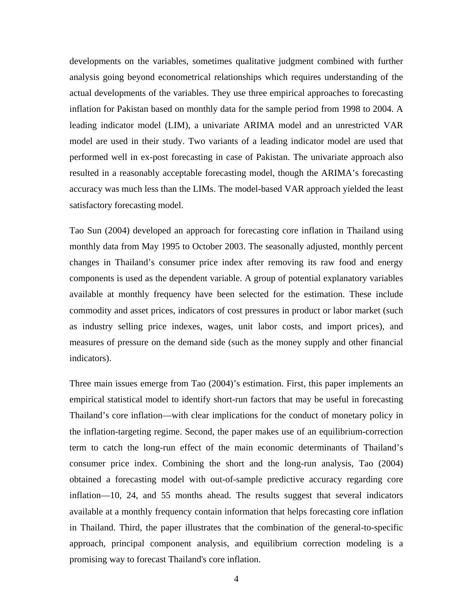developments on the variables, sometimes qualitative judgment combined with further analysis going beyond econometrical relationships which requires understanding of the actual developments of the variables. They use three empirical approaches to forecasting inflation for Pakistan based on monthly data for the sample period from 1998 to 2004. A leading indicator model (LIM), a univariate ARIMA model and an unrestricted VAR model are used in their study. Two variants of a leading indicator model are used that performed well in ex-post forecasting in case of Pakistan. The univariate approach also resulted in a reasonably acceptable forecasting model, though the ARIMA's forecasting accuracy was much less than the LIMs. The model-based VAR approach yielded the least satisfactory forecasting model.

Tao Sun (2004) developed an approach for forecasting core inflation in Thailand using monthly data from May 1995 to October 2003. The seasonally adjusted, monthly percent changes in Thailand's consumer price index after removing its raw food and energy components is used as the dependent variable. A group of potential explanatory variables available at monthly frequency have been selected for the estimation. These include commodity and asset prices, indicators of cost pressures in product or labor market (such as industry selling price indexes, wages, unit labor costs, and import prices), and measures of pressure on the demand side (such as the money supply and other financial indicators).

Three main issues emerge from Tao (2004)'s estimation. First, this paper implements an empirical statistical model to identify short-run factors that may be useful in forecasting Thailand's core inflation—with clear implications for the conduct of monetary policy in the inflation-targeting regime. Second, the paper makes use of an equilibrium-correction term to catch the long-run effect of the main economic determinants of Thailand's consumer price index. Combining the short and the long-run analysis, Tao (2004) obtained a forecasting model with out-of-sample predictive accuracy regarding core inflation—10, 24, and 55 months ahead. The results suggest that several indicators available at a monthly frequency contain information that helps forecasting core inflation in Thailand. Third, the paper illustrates that the combination of the general-to-specific approach, principal component analysis, and equilibrium correction modeling is a promising way to forecast Thailand's core inflation.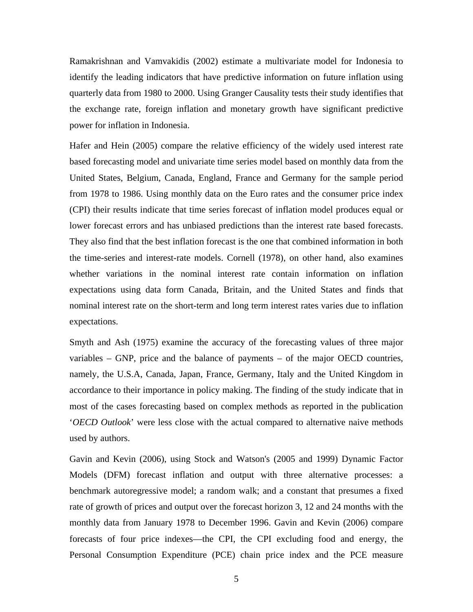Ramakrishnan and Vamvakidis (2002) estimate a multivariate model for Indonesia to identify the leading indicators that have predictive information on future inflation using quarterly data from 1980 to 2000. Using Granger Causality tests their study identifies that the exchange rate, foreign inflation and monetary growth have significant predictive power for inflation in Indonesia.

Hafer and Hein (2005) compare the relative efficiency of the widely used interest rate based forecasting model and univariate time series model based on monthly data from the United States, Belgium, Canada, England, France and Germany for the sample period from 1978 to 1986. Using monthly data on the Euro rates and the consumer price index (CPI) their results indicate that time series forecast of inflation model produces equal or lower forecast errors and has unbiased predictions than the interest rate based forecasts. They also find that the best inflation forecast is the one that combined information in both the time-series and interest-rate models. Cornell (1978), on other hand, also examines whether variations in the nominal interest rate contain information on inflation expectations using data form Canada, Britain, and the United States and finds that nominal interest rate on the short-term and long term interest rates varies due to inflation expectations.

Smyth and Ash (1975) examine the accuracy of the forecasting values of three major variables – GNP, price and the balance of payments – of the major OECD countries, namely, the U.S.A, Canada, Japan, France, Germany, Italy and the United Kingdom in accordance to their importance in policy making. The finding of the study indicate that in most of the cases forecasting based on complex methods as reported in the publication '*OECD Outlook*' were less close with the actual compared to alternative naive methods used by authors.

Gavin and Kevin (2006), using Stock and Watson's (2005 and 1999) Dynamic Factor Models (DFM) forecast inflation and output with three alternative processes: a benchmark autoregressive model; a random walk; and a constant that presumes a fixed rate of growth of prices and output over the forecast horizon 3, 12 and 24 months with the monthly data from January 1978 to December 1996. Gavin and Kevin (2006) compare forecasts of four price indexes—the CPI, the CPI excluding food and energy, the Personal Consumption Expenditure (PCE) chain price index and the PCE measure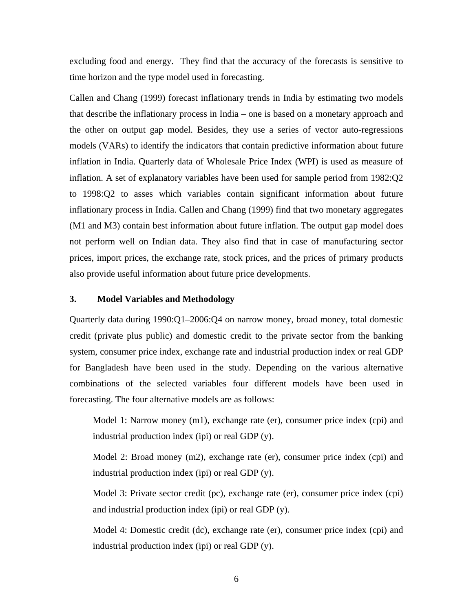excluding food and energy. They find that the accuracy of the forecasts is sensitive to time horizon and the type model used in forecasting.

Callen and Chang (1999) forecast inflationary trends in India by estimating two models that describe the inflationary process in India – one is based on a monetary approach and the other on output gap model. Besides, they use a series of vector auto-regressions models (VARs) to identify the indicators that contain predictive information about future inflation in India. Quarterly data of Wholesale Price Index (WPI) is used as measure of inflation. A set of explanatory variables have been used for sample period from 1982:Q2 to 1998:Q2 to asses which variables contain significant information about future inflationary process in India. Callen and Chang (1999) find that two monetary aggregates (M1 and M3) contain best information about future inflation. The output gap model does not perform well on Indian data. They also find that in case of manufacturing sector prices, import prices, the exchange rate, stock prices, and the prices of primary products also provide useful information about future price developments.

### **3. Model Variables and Methodology**

Quarterly data during 1990:Q1–2006:Q4 on narrow money, broad money, total domestic credit (private plus public) and domestic credit to the private sector from the banking system, consumer price index, exchange rate and industrial production index or real GDP for Bangladesh have been used in the study. Depending on the various alternative combinations of the selected variables four different models have been used in forecasting. The four alternative models are as follows:

Model 1: Narrow money (m1), exchange rate (er), consumer price index (cpi) and industrial production index (ipi) or real GDP (y).

Model 2: Broad money (m2), exchange rate (er), consumer price index (cpi) and industrial production index (ipi) or real GDP (y).

Model 3: Private sector credit (pc), exchange rate (er), consumer price index (cpi) and industrial production index (ipi) or real GDP (y).

Model 4: Domestic credit (dc), exchange rate (er), consumer price index (cpi) and industrial production index (ipi) or real GDP (y).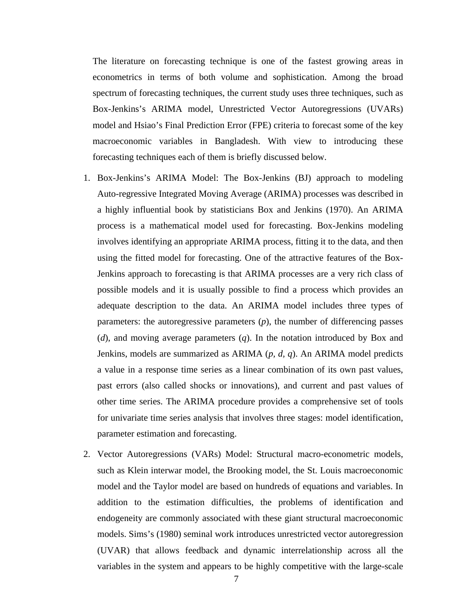The literature on forecasting technique is one of the fastest growing areas in econometrics in terms of both volume and sophistication. Among the broad spectrum of forecasting techniques, the current study uses three techniques, such as Box-Jenkins's ARIMA model, Unrestricted Vector Autoregressions (UVARs) model and Hsiao's Final Prediction Error (FPE) criteria to forecast some of the key macroeconomic variables in Bangladesh. With view to introducing these forecasting techniques each of them is briefly discussed below.

- 1. Box-Jenkins's ARIMA Model: The Box-Jenkins (BJ) approach to modeling Auto-regressive Integrated Moving Average (ARIMA) processes was described in a highly influential book by statisticians Box and Jenkins (1970). An ARIMA process is a mathematical model used for forecasting. Box-Jenkins modeling involves identifying an appropriate ARIMA process, fitting it to the data, and then using the fitted model for forecasting. One of the attractive features of the Box-Jenkins approach to forecasting is that ARIMA processes are a very rich class of possible models and it is usually possible to find a process which provides an adequate description to the data. An ARIMA model includes three types of parameters: the autoregressive parameters (*p*), the number of differencing passes (*d*), and moving average parameters (*q*). In the notation introduced by Box and Jenkins, models are summarized as ARIMA (*p, d, q*). An ARIMA model predicts a value in a response time series as a linear combination of its own past values, past errors (also called shocks or innovations), and current and past values of other time series. The ARIMA procedure provides a comprehensive set of tools for univariate time series analysis that involves three stages: model identification, parameter estimation and forecasting.
- 2. Vector Autoregressions (VARs) Model: Structural macro-econometric models, such as Klein interwar model, the Brooking model, the St. Louis macroeconomic model and the Taylor model are based on hundreds of equations and variables. In addition to the estimation difficulties, the problems of identification and endogeneity are commonly associated with these giant structural macroeconomic models. Sims's (1980) seminal work introduces unrestricted vector autoregression (UVAR) that allows feedback and dynamic interrelationship across all the variables in the system and appears to be highly competitive with the large-scale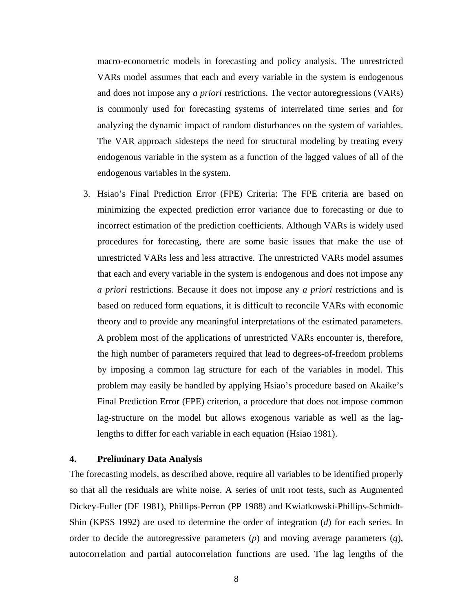macro-econometric models in forecasting and policy analysis. The unrestricted VARs model assumes that each and every variable in the system is endogenous and does not impose any *a priori* restrictions. The vector autoregressions (VARs) is commonly used for forecasting systems of interrelated time series and for analyzing the dynamic impact of random disturbances on the system of variables. The VAR approach sidesteps the need for structural modeling by treating every endogenous variable in the system as a function of the lagged values of all of the endogenous variables in the system.

3. Hsiao's Final Prediction Error (FPE) Criteria: The FPE criteria are based on minimizing the expected prediction error variance due to forecasting or due to incorrect estimation of the prediction coefficients. Although VARs is widely used procedures for forecasting, there are some basic issues that make the use of unrestricted VARs less and less attractive. The unrestricted VARs model assumes that each and every variable in the system is endogenous and does not impose any *a priori* restrictions. Because it does not impose any *a priori* restrictions and is based on reduced form equations, it is difficult to reconcile VARs with economic theory and to provide any meaningful interpretations of the estimated parameters. A problem most of the applications of unrestricted VARs encounter is, therefore, the high number of parameters required that lead to degrees-of-freedom problems by imposing a common lag structure for each of the variables in model. This problem may easily be handled by applying Hsiao's procedure based on Akaike's Final Prediction Error (FPE) criterion, a procedure that does not impose common lag-structure on the model but allows exogenous variable as well as the laglengths to differ for each variable in each equation (Hsiao 1981).

### **4. Preliminary Data Analysis**

The forecasting models, as described above, require all variables to be identified properly so that all the residuals are white noise. A series of unit root tests, such as Augmented Dickey-Fuller (DF 1981), Phillips-Perron (PP 1988) and Kwiatkowski-Phillips-Schmidt-Shin (KPSS 1992) are used to determine the order of integration (*d*) for each series. In order to decide the autoregressive parameters (*p*) and moving average parameters (*q*), autocorrelation and partial autocorrelation functions are used. The lag lengths of the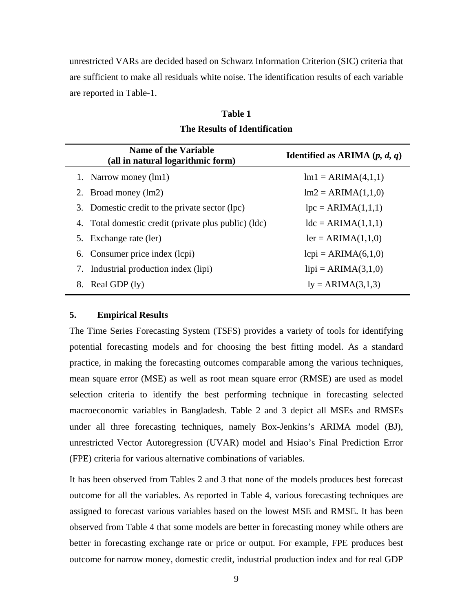unrestricted VARs are decided based on Schwarz Information Criterion (SIC) criteria that are sufficient to make all residuals white noise. The identification results of each variable are reported in Table-1.

| <b>Table 1</b>                       |
|--------------------------------------|
| <b>The Results of Identification</b> |

|    | <b>Name of the Variable</b>                          | <b>Identified as ARIMA</b> $(p, d, q)$ |
|----|------------------------------------------------------|----------------------------------------|
|    | (all in natural logarithmic form)                    |                                        |
|    | 1. Narrow money (lm1)                                | $lm1 = ARIMA(4,1,1)$                   |
|    | 2. Broad money (lm2)                                 | $Im2 = ARIMA(1,1,0)$                   |
|    | 3. Domestic credit to the private sector (lpc)       | $lpc = ARIMA(1,1,1)$                   |
|    | 4. Total domestic credit (private plus public) (ldc) | $ldc = ARIMA(1,1,1)$                   |
|    | 5. Exchange rate (ler)                               | $ler = ARIMA(1,1,0)$                   |
|    | 6. Consumer price index (lcpi)                       | $lcpi = ARIMA(6,1,0)$                  |
|    | 7. Industrial production index (lipi)                | $lipi = ARIMA(3,1,0)$                  |
| 8. | Real GDP $(1y)$                                      | $ly = ARIMA(3,1,3)$                    |
|    |                                                      |                                        |

### **5. Empirical Results**

The Time Series Forecasting System (TSFS) provides a variety of tools for identifying potential forecasting models and for choosing the best fitting model. As a standard practice, in making the forecasting outcomes comparable among the various techniques, mean square error (MSE) as well as root mean square error (RMSE) are used as model selection criteria to identify the best performing technique in forecasting selected macroeconomic variables in Bangladesh. Table 2 and 3 depict all MSEs and RMSEs under all three forecasting techniques, namely Box-Jenkins's ARIMA model (BJ), unrestricted Vector Autoregression (UVAR) model and Hsiao's Final Prediction Error (FPE) criteria for various alternative combinations of variables.

It has been observed from Tables 2 and 3 that none of the models produces best forecast outcome for all the variables. As reported in Table 4, various forecasting techniques are assigned to forecast various variables based on the lowest MSE and RMSE. It has been observed from Table 4 that some models are better in forecasting money while others are better in forecasting exchange rate or price or output. For example, FPE produces best outcome for narrow money, domestic credit, industrial production index and for real GDP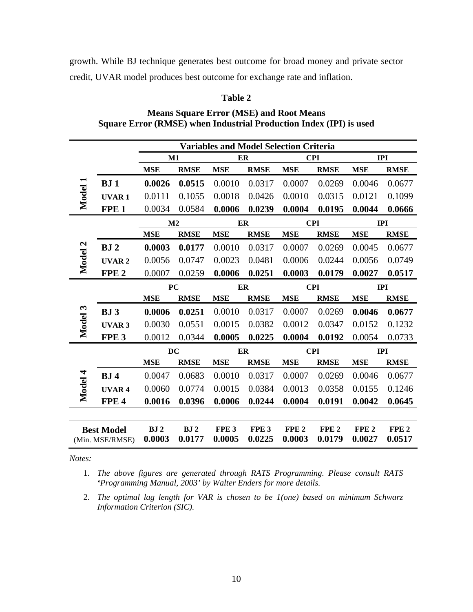growth. While BJ technique generates best outcome for broad money and private sector credit, UVAR model produces best outcome for exchange rate and inflation.

### **Table 2**

|                                      | <b>Variables and Model Selection Criteria</b> |                           |                           |                            |                            |                            |                            |                            |                            |
|--------------------------------------|-----------------------------------------------|---------------------------|---------------------------|----------------------------|----------------------------|----------------------------|----------------------------|----------------------------|----------------------------|
|                                      |                                               | M1                        |                           | ER                         |                            | <b>CPI</b>                 |                            | <b>IPI</b>                 |                            |
|                                      |                                               | <b>MSE</b>                | <b>RMSE</b>               | <b>MSE</b>                 | <b>RMSE</b>                | <b>MSE</b>                 | <b>RMSE</b>                | <b>MSE</b>                 | <b>RMSE</b>                |
|                                      | BJ1                                           | 0.0026                    | 0.0515                    | 0.0010                     | 0.0317                     | 0.0007                     | 0.0269                     | 0.0046                     | 0.0677                     |
| Model                                | <b>UVAR1</b>                                  | 0.0111                    | 0.1055                    | 0.0018                     | 0.0426                     | 0.0010                     | 0.0315                     | 0.0121                     | 0.1099                     |
|                                      | FPE <sub>1</sub>                              | 0.0034                    | 0.0584                    | 0.0006                     | 0.0239                     | 0.0004                     | 0.0195                     | 0.0044                     | 0.0666                     |
|                                      | M <sub>2</sub>                                |                           | ER                        |                            | <b>CPI</b>                 |                            | <b>IPI</b>                 |                            |                            |
|                                      |                                               | <b>MSE</b>                | <b>RMSE</b>               | <b>MSE</b>                 | <b>RMSE</b>                | <b>MSE</b>                 | <b>RMSE</b>                | <b>MSE</b>                 | <b>RMSE</b>                |
| Model 2                              | BJ <sub>2</sub>                               | 0.0003                    | 0.0177                    | 0.0010                     | 0.0317                     | 0.0007                     | 0.0269                     | 0.0045                     | 0.0677                     |
|                                      | UVAR <sub>2</sub>                             | 0.0056                    | 0.0747                    | 0.0023                     | 0.0481                     | 0.0006                     | 0.0244                     | 0.0056                     | 0.0749                     |
|                                      | FPE <sub>2</sub>                              | 0.0007                    | 0.0259                    | 0.0006                     | 0.0251                     | 0.0003                     | 0.0179                     | 0.0027                     | 0.0517                     |
|                                      | PC                                            |                           |                           | ER                         |                            | <b>CPI</b>                 |                            | <b>IPI</b>                 |                            |
|                                      |                                               | <b>MSE</b>                | <b>RMSE</b>               | <b>MSE</b>                 | <b>RMSE</b>                | <b>MSE</b>                 | <b>RMSE</b>                | <b>MSE</b>                 | <b>RMSE</b>                |
| Model 3                              | BJ3                                           | 0.0006                    | 0.0251                    | 0.0010                     | 0.0317                     | 0.0007                     | 0.0269                     | 0.0046                     | 0.0677                     |
|                                      | <b>UVAR3</b>                                  | 0.0030                    | 0.0551                    | 0.0015                     | 0.0382                     | 0.0012                     | 0.0347                     | 0.0152                     | 0.1232                     |
|                                      | FPE <sub>3</sub>                              | 0.0012                    | 0.0344                    | 0.0005                     | 0.0225                     | 0.0004                     | 0.0192                     | 0.0054                     | 0.0733                     |
|                                      |                                               | DC                        |                           | ER                         |                            |                            | <b>CPI</b>                 |                            | <b>IPI</b>                 |
|                                      |                                               | <b>MSE</b>                | <b>RMSE</b>               | <b>MSE</b>                 | <b>RMSE</b>                | <b>MSE</b>                 | <b>RMSE</b>                | <b>MSE</b>                 | <b>RMSE</b>                |
|                                      | BJ <sub>4</sub>                               | 0.0047                    | 0.0683                    | 0.0010                     | 0.0317                     | 0.0007                     | 0.0269                     | 0.0046                     | 0.0677                     |
| Model 4                              | UVAR <sub>4</sub>                             | 0.0060                    | 0.0774                    | 0.0015                     | 0.0384                     | 0.0013                     | 0.0358                     | 0.0155                     | 0.1246                     |
|                                      | FPE <sub>4</sub>                              | 0.0016                    | 0.0396                    | 0.0006                     | 0.0244                     | 0.0004                     | 0.0191                     | 0.0042                     | 0.0645                     |
|                                      |                                               |                           |                           |                            |                            |                            |                            |                            |                            |
| <b>Best Model</b><br>(Min. MSE/RMSE) |                                               | BJ <sub>2</sub><br>0.0003 | BJ <sub>2</sub><br>0.0177 | FPE <sub>3</sub><br>0.0005 | FPE <sub>3</sub><br>0.0225 | FPE <sub>2</sub><br>0.0003 | FPE <sub>2</sub><br>0.0179 | FPE <sub>2</sub><br>0.0027 | FPE <sub>2</sub><br>0.0517 |

**Means Square Error (MSE) and Root Means Square Error (RMSE) when Industrial Production Index (IPI) is used** 

*Notes:* 

1. *The above figures are generated through RATS Programming. Please consult RATS 'Programming Manual, 2003' by Walter Enders for more details.* 

<sup>2.</sup> *The optimal lag length for VAR is chosen to be 1(one) based on minimum Schwarz Information Criterion (SIC).*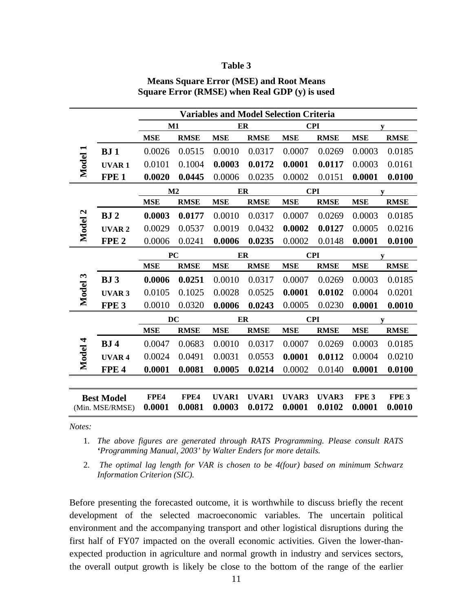#### **Table 3**

|                                      | <b>Variables and Model Selection Criteria</b> |                |                |                 |                        |                 |                 |                            |                            |
|--------------------------------------|-----------------------------------------------|----------------|----------------|-----------------|------------------------|-----------------|-----------------|----------------------------|----------------------------|
|                                      |                                               | M1             |                | ER              |                        | <b>CPI</b>      |                 | V                          |                            |
|                                      |                                               | <b>MSE</b>     | <b>RMSE</b>    | <b>MSE</b>      | <b>RMSE</b>            | <b>MSE</b>      | <b>RMSE</b>     | <b>MSE</b>                 | <b>RMSE</b>                |
|                                      | BJ1                                           | 0.0026         | 0.0515         | 0.0010          | 0.0317                 | 0.0007          | 0.0269          | 0.0003                     | 0.0185                     |
| Model 1                              | <b>UVAR1</b>                                  | 0.0101         | 0.1004         | 0.0003          | 0.0172                 | 0.0001          | 0.0117          | 0.0003                     | 0.0161                     |
|                                      | FPE <sub>1</sub>                              | 0.0020         | 0.0445         | 0.0006          | 0.0235                 | 0.0002          | 0.0151          | 0.0001                     | 0.0100                     |
|                                      |                                               | M <sub>2</sub> |                | ER              |                        |                 | <b>CPI</b>      |                            | $\boldsymbol{\mathrm{v}}$  |
|                                      |                                               | <b>MSE</b>     | <b>RMSE</b>    | <b>MSE</b>      | <b>RMSE</b>            | <b>MSE</b>      | <b>RMSE</b>     | <b>MSE</b>                 | <b>RMSE</b>                |
| $\mathbf{z}$                         | BJ <sub>2</sub>                               | 0.0003         | 0.0177         | 0.0010          | 0.0317                 | 0.0007          | 0.0269          | 0.0003                     | 0.0185                     |
| Model                                | <b>UVAR2</b>                                  | 0.0029         | 0.0537         | 0.0019          | 0.0432                 | 0.0002          | 0.0127          | 0.0005                     | 0.0216                     |
|                                      | FPE <sub>2</sub>                              | 0.0006         | 0.0241         | 0.0006          | 0.0235                 | 0.0002          | 0.0148          | 0.0001                     | 0.0100                     |
|                                      |                                               | PC             |                | ER              |                        | <b>CPI</b>      |                 | y                          |                            |
|                                      |                                               | <b>MSE</b>     | <b>RMSE</b>    | <b>MSE</b>      | <b>RMSE</b>            | <b>MSE</b>      | <b>RMSE</b>     | <b>MSE</b>                 | <b>RMSE</b>                |
| 3                                    | BJ3                                           | 0.0006         | 0.0251         | 0.0010          | 0.0317                 | 0.0007          | 0.0269          | 0.0003                     | 0.0185                     |
| Model                                | <b>UVAR3</b>                                  | 0.0105         | 0.1025         | 0.0028          | 0.0525                 | 0.0001          | 0.0102          | 0.0004                     | 0.0201                     |
|                                      | FPE <sub>3</sub>                              | 0.0010         | 0.0320         | 0.0006          | 0.0243                 | 0.0005          | 0.0230          | 0.0001                     | 0.0010                     |
|                                      |                                               | <b>DC</b>      |                | ER              |                        | <b>CPI</b>      |                 |                            |                            |
|                                      |                                               | <b>MSE</b>     | <b>RMSE</b>    | <b>MSE</b>      | <b>RMSE</b>            | <b>MSE</b>      | <b>RMSE</b>     | <b>MSE</b>                 | <b>RMSE</b>                |
| Model 4                              | BJ <sub>4</sub>                               | 0.0047         | 0.0683         | 0.0010          | 0.0317                 | 0.0007          | 0.0269          | 0.0003                     | 0.0185                     |
|                                      | <b>UVAR4</b>                                  | 0.0024         | 0.0491         | 0.0031          | 0.0553                 | 0.0001          | 0.0112          | 0.0004                     | 0.0210                     |
|                                      | FPE <sub>4</sub>                              | 0.0001         | 0.0081         | 0.0005          | 0.0214                 | 0.0002          | 0.0140          | 0.0001                     | 0.0100                     |
|                                      |                                               |                |                |                 |                        |                 |                 |                            |                            |
| <b>Best Model</b><br>(Min. MSE/RMSE) |                                               | FPE4<br>0.0001 | FPE4<br>0.0081 | UVAR1<br>0.0003 | <b>UVAR1</b><br>0.0172 | UVAR3<br>0.0001 | UVAR3<br>0.0102 | FPE <sub>3</sub><br>0.0001 | FPE <sub>3</sub><br>0.0010 |

## **Means Square Error (MSE) and Root Means Square Error (RMSE) when Real GDP (y) is used**

*Notes:* 

- 1. *The above figures are generated through RATS Programming. Please consult RATS 'Programming Manual, 2003' by Walter Enders for more details.*
- 2. *The optimal lag length for VAR is chosen to be 4(four) based on minimum Schwarz Information Criterion (SIC).*

Before presenting the forecasted outcome, it is worthwhile to discuss briefly the recent development of the selected macroeconomic variables. The uncertain political environment and the accompanying transport and other logistical disruptions during the first half of FY07 impacted on the overall economic activities. Given the lower-thanexpected production in agriculture and normal growth in industry and services sectors, the overall output growth is likely be close to the bottom of the range of the earlier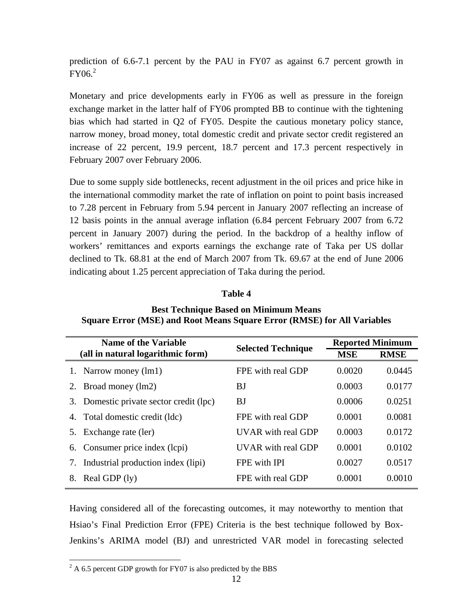prediction of 6.6-7.1 percent by the PAU in FY07 as against 6.7 percent growth in  $FY06.<sup>2</sup>$ 

Monetary and price developments early in FY06 as well as pressure in the foreign exchange market in the latter half of FY06 prompted BB to continue with the tightening bias which had started in Q2 of FY05. Despite the cautious monetary policy stance, narrow money, broad money, total domestic credit and private sector credit registered an increase of 22 percent, 19.9 percent, 18.7 percent and 17.3 percent respectively in February 2007 over February 2006.

Due to some supply side bottlenecks, recent adjustment in the oil prices and price hike in the international commodity market the rate of inflation on point to point basis increased to 7.28 percent in February from 5.94 percent in January 2007 reflecting an increase of 12 basis points in the annual average inflation (6.84 percent February 2007 from 6.72 percent in January 2007) during the period. In the backdrop of a healthy inflow of workers' remittances and exports earnings the exchange rate of Taka per US dollar declined to Tk. 68.81 at the end of March 2007 from Tk. 69.67 at the end of June 2006 indicating about 1.25 percent appreciation of Taka during the period.

## **Table 4**

| <b>Name of the Variable</b>              | <b>Selected Technique</b> | <b>Reported Minimum</b> |             |  |
|------------------------------------------|---------------------------|-------------------------|-------------|--|
| (all in natural logarithmic form)        |                           | <b>MSE</b>              | <b>RMSE</b> |  |
| 1. Narrow money (lm1)                    | FPE with real GDP         | 0.0020                  | 0.0445      |  |
| Broad money (lm2)<br>2.                  | BJ                        | 0.0003                  | 0.0177      |  |
| 3. Domestic private sector credit (lpc)  | BJ                        | 0.0006                  | 0.0251      |  |
| 4. Total domestic credit (ldc)           | FPE with real GDP         | 0.0001                  | 0.0081      |  |
| Exchange rate (ler)<br>5.                | UVAR with real GDP        | 0.0003                  | 0.0172      |  |
| Consumer price index (lcpi)<br>6.        | UVAR with real GDP        | 0.0001                  | 0.0102      |  |
| Industrial production index (lipi)<br>7. | FPE with IPI              | 0.0027                  | 0.0517      |  |
| Real GDP (ly)<br>8.                      | FPE with real GDP         | 0.0001                  | 0.0010      |  |

## **Best Technique Based on Minimum Means Square Error (MSE) and Root Means Square Error (RMSE) for All Variables**

Having considered all of the forecasting outcomes, it may noteworthy to mention that Hsiao's Final Prediction Error (FPE) Criteria is the best technique followed by Box-Jenkins's ARIMA model (BJ) and unrestricted VAR model in forecasting selected

 $\overline{a}$ 

 $^{2}$  A 6.5 percent GDP growth for FY07 is also predicted by the BBS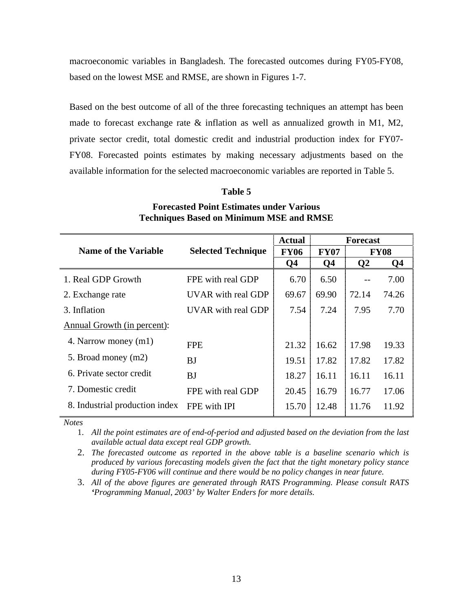macroeconomic variables in Bangladesh. The forecasted outcomes during FY05-FY08, based on the lowest MSE and RMSE, are shown in Figures 1-7.

Based on the best outcome of all of the three forecasting techniques an attempt has been made to forecast exchange rate & inflation as well as annualized growth in M1, M2, private sector credit, total domestic credit and industrial production index for FY07- FY08. Forecasted points estimates by making necessary adjustments based on the available information for the selected macroeconomic variables are reported in Table 5.

|                                |                           | <b>Actual</b>  |                | <b>Forecast</b> |       |
|--------------------------------|---------------------------|----------------|----------------|-----------------|-------|
| <b>Name of the Variable</b>    | <b>Selected Technique</b> | <b>FY06</b>    | <b>FY07</b>    | <b>FY08</b>     |       |
|                                |                           | Q <sub>4</sub> | Q <sub>4</sub> | $\mathbf{Q}$    | Q4    |
| 1. Real GDP Growth             | FPE with real GDP         | 6.70           | 6.50           |                 | 7.00  |
| 2. Exchange rate               | UVAR with real GDP        | 69.67          | 69.90          | 72.14           | 74.26 |
| 3. Inflation                   | UVAR with real GDP        | 7.54           | 7.24           | 7.95            | 7.70  |
| Annual Growth (in percent):    |                           |                |                |                 |       |
| 4. Narrow money (m1)           | <b>FPE</b>                | 21.32          | 16.62          | 17.98           | 19.33 |
| 5. Broad money (m2)            | BJ                        | 19.51          | 17.82          | 17.82           | 17.82 |
| 6. Private sector credit       | BJ                        | 18.27          | 16.11          | 16.11           | 16.11 |
| 7. Domestic credit             | FPE with real GDP         | 20.45          | 16.79          | 16.77           | 17.06 |
| 8. Industrial production index | FPE with IPI              | 15.70          | 12.48          | 11.76           | 11.92 |

## **Forecasted Point Estimates under Various Techniques Based on Minimum MSE and RMSE**

**Table 5** 

*Notes*

1. *All the point estimates are of end-of-period and adjusted based on the deviation from the last available actual data except real GDP growth.* 

2. *The forecasted outcome as reported in the above table is a baseline scenario which is produced by various forecasting models given the fact that the tight monetary policy stance during FY05-FY06 will continue and there would be no policy changes in near future.*

3. *All of the above figures are generated through RATS Programming. Please consult RATS 'Programming Manual, 2003' by Walter Enders for more details.*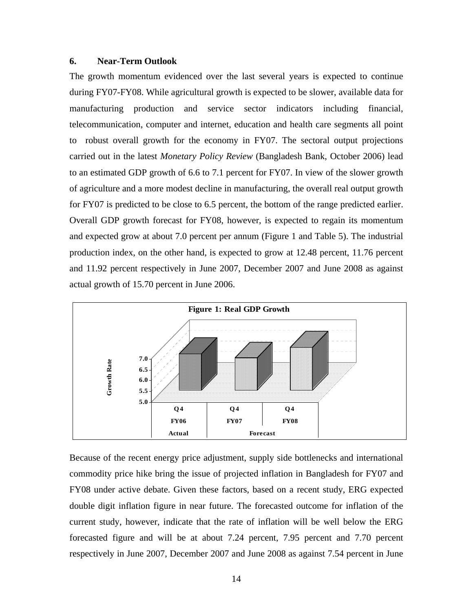#### **6. Near-Term Outlook**

The growth momentum evidenced over the last several years is expected to continue during FY07-FY08. While agricultural growth is expected to be slower, available data for manufacturing production and service sector indicators including financial, telecommunication, computer and internet, education and health care segments all point to robust overall growth for the economy in FY07. The sectoral output projections carried out in the latest *Monetary Policy Review* (Bangladesh Bank, October 2006) lead to an estimated GDP growth of 6.6 to 7.1 percent for FY07. In view of the slower growth of agriculture and a more modest decline in manufacturing, the overall real output growth for FY07 is predicted to be close to 6.5 percent, the bottom of the range predicted earlier. Overall GDP growth forecast for FY08, however, is expected to regain its momentum and expected grow at about 7.0 percent per annum (Figure 1 and Table 5). The industrial production index, on the other hand, is expected to grow at 12.48 percent, 11.76 percent and 11.92 percent respectively in June 2007, December 2007 and June 2008 as against actual growth of 15.70 percent in June 2006.



Because of the recent energy price adjustment, supply side bottlenecks and international commodity price hike bring the issue of projected inflation in Bangladesh for FY07 and FY08 under active debate. Given these factors, based on a recent study, ERG expected double digit inflation figure in near future. The forecasted outcome for inflation of the current study, however, indicate that the rate of inflation will be well below the ERG forecasted figure and will be at about 7.24 percent, 7.95 percent and 7.70 percent respectively in June 2007, December 2007 and June 2008 as against 7.54 percent in June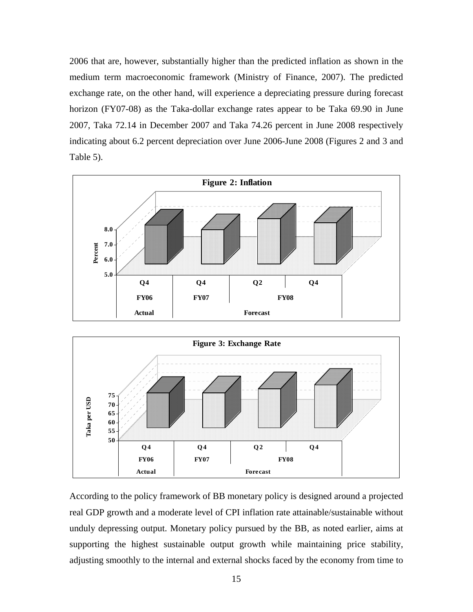2006 that are, however, substantially higher than the predicted inflation as shown in the medium term macroeconomic framework (Ministry of Finance, 2007). The predicted exchange rate, on the other hand, will experience a depreciating pressure during forecast horizon (FY07-08) as the Taka-dollar exchange rates appear to be Taka 69.90 in June 2007, Taka 72.14 in December 2007 and Taka 74.26 percent in June 2008 respectively indicating about 6.2 percent depreciation over June 2006-June 2008 (Figures 2 and 3 and Table 5).





According to the policy framework of BB monetary policy is designed around a projected real GDP growth and a moderate level of CPI inflation rate attainable/sustainable without unduly depressing output. Monetary policy pursued by the BB, as noted earlier, aims at supporting the highest sustainable output growth while maintaining price stability, adjusting smoothly to the internal and external shocks faced by the economy from time to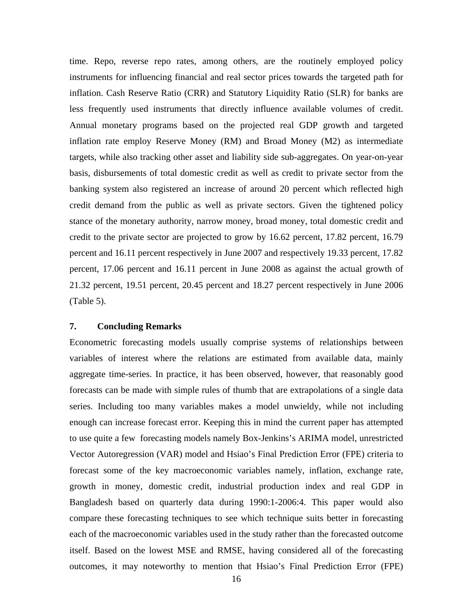time. Repo, reverse repo rates, among others, are the routinely employed policy instruments for influencing financial and real sector prices towards the targeted path for inflation. Cash Reserve Ratio (CRR) and Statutory Liquidity Ratio (SLR) for banks are less frequently used instruments that directly influence available volumes of credit. Annual monetary programs based on the projected real GDP growth and targeted inflation rate employ Reserve Money (RM) and Broad Money (M2) as intermediate targets, while also tracking other asset and liability side sub-aggregates. On year-on-year basis, disbursements of total domestic credit as well as credit to private sector from the banking system also registered an increase of around 20 percent which reflected high credit demand from the public as well as private sectors. Given the tightened policy stance of the monetary authority, narrow money, broad money, total domestic credit and credit to the private sector are projected to grow by 16.62 percent, 17.82 percent, 16.79 percent and 16.11 percent respectively in June 2007 and respectively 19.33 percent, 17.82 percent, 17.06 percent and 16.11 percent in June 2008 as against the actual growth of 21.32 percent, 19.51 percent, 20.45 percent and 18.27 percent respectively in June 2006 (Table 5).

#### **7. Concluding Remarks**

Econometric forecasting models usually comprise systems of relationships between variables of interest where the relations are estimated from available data, mainly aggregate time-series. In practice, it has been observed, however, that reasonably good forecasts can be made with simple rules of thumb that are extrapolations of a single data series. Including too many variables makes a model unwieldy, while not including enough can increase forecast error. Keeping this in mind the current paper has attempted to use quite a few forecasting models namely Box-Jenkins's ARIMA model, unrestricted Vector Autoregression (VAR) model and Hsiao's Final Prediction Error (FPE) criteria to forecast some of the key macroeconomic variables namely, inflation, exchange rate, growth in money, domestic credit, industrial production index and real GDP in Bangladesh based on quarterly data during 1990:1-2006:4. This paper would also compare these forecasting techniques to see which technique suits better in forecasting each of the macroeconomic variables used in the study rather than the forecasted outcome itself. Based on the lowest MSE and RMSE, having considered all of the forecasting outcomes, it may noteworthy to mention that Hsiao's Final Prediction Error (FPE)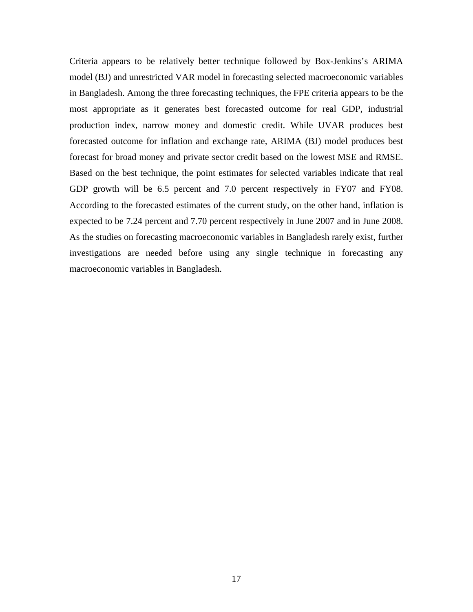Criteria appears to be relatively better technique followed by Box-Jenkins's ARIMA model (BJ) and unrestricted VAR model in forecasting selected macroeconomic variables in Bangladesh. Among the three forecasting techniques, the FPE criteria appears to be the most appropriate as it generates best forecasted outcome for real GDP, industrial production index, narrow money and domestic credit. While UVAR produces best forecasted outcome for inflation and exchange rate, ARIMA (BJ) model produces best forecast for broad money and private sector credit based on the lowest MSE and RMSE. Based on the best technique, the point estimates for selected variables indicate that real GDP growth will be 6.5 percent and 7.0 percent respectively in FY07 and FY08. According to the forecasted estimates of the current study, on the other hand, inflation is expected to be 7.24 percent and 7.70 percent respectively in June 2007 and in June 2008. As the studies on forecasting macroeconomic variables in Bangladesh rarely exist, further investigations are needed before using any single technique in forecasting any macroeconomic variables in Bangladesh.